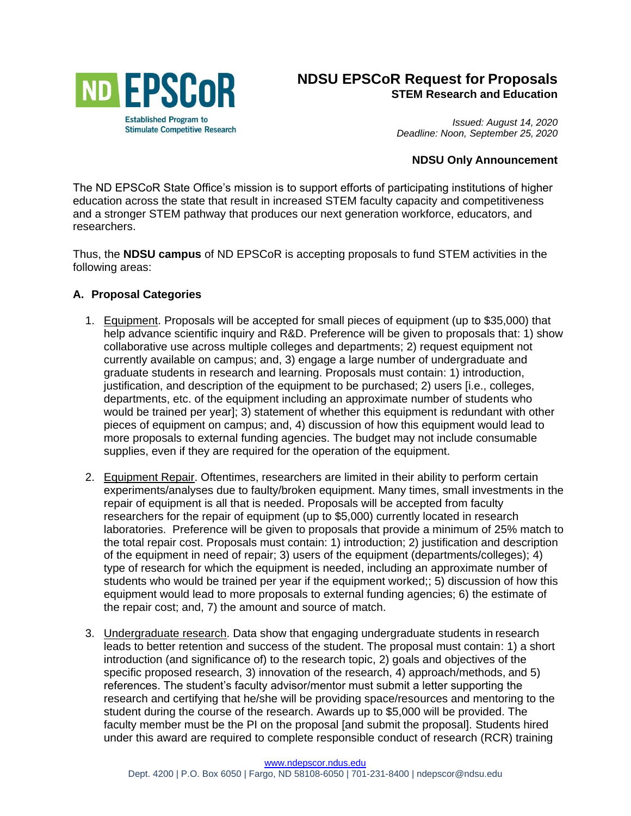

# **NDSU EPSCoR Request for Proposals STEM Research and Education**

*Issued: August 14, 2020 Deadline: Noon, September 25, 2020*

### **NDSU Only Announcement**

The ND EPSCoR State Office's mission is to support efforts of participating institutions of higher education across the state that result in increased STEM faculty capacity and competitiveness and a stronger STEM pathway that produces our next generation workforce, educators, and researchers.

Thus, the **NDSU campus** of ND EPSCoR is accepting proposals to fund STEM activities in the following areas:

#### **A. Proposal Categories**

- 1. Equipment. Proposals will be accepted for small pieces of equipment (up to \$35,000) that help advance scientific inquiry and R&D. Preference will be given to proposals that: 1) show collaborative use across multiple colleges and departments; 2) request equipment not currently available on campus; and, 3) engage a large number of undergraduate and graduate students in research and learning. Proposals must contain: 1) introduction, justification, and description of the equipment to be purchased; 2) users [i.e., colleges, departments, etc. of the equipment including an approximate number of students who would be trained per year]; 3) statement of whether this equipment is redundant with other pieces of equipment on campus; and, 4) discussion of how this equipment would lead to more proposals to external funding agencies. The budget may not include consumable supplies, even if they are required for the operation of the equipment.
- 2. Equipment Repair. Oftentimes, researchers are limited in their ability to perform certain experiments/analyses due to faulty/broken equipment. Many times, small investments in the repair of equipment is all that is needed. Proposals will be accepted from faculty researchers for the repair of equipment (up to \$5,000) currently located in research laboratories. Preference will be given to proposals that provide a minimum of 25% match to the total repair cost. Proposals must contain: 1) introduction; 2) justification and description of the equipment in need of repair; 3) users of the equipment (departments/colleges); 4) type of research for which the equipment is needed, including an approximate number of students who would be trained per year if the equipment worked;; 5) discussion of how this equipment would lead to more proposals to external funding agencies; 6) the estimate of the repair cost; and, 7) the amount and source of match.
- 3. Undergraduate research. Data show that engaging undergraduate students in research leads to better retention and success of the student. The proposal must contain: 1) a short introduction (and significance of) to the research topic, 2) goals and objectives of the specific proposed research, 3) innovation of the research, 4) approach/methods, and 5) references. The student's faculty advisor/mentor must submit a letter supporting the research and certifying that he/she will be providing space/resources and mentoring to the student during the course of the research. Awards up to \$5,000 will be provided. The faculty member must be the PI on the proposal [and submit the proposal]. Students hired under this award are required to complete responsible conduct of research (RCR) training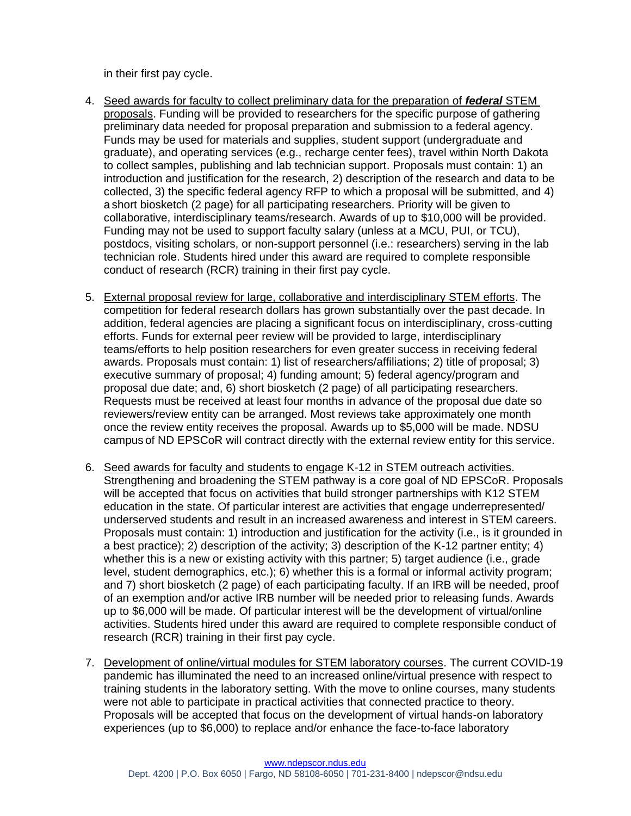in their first pay cycle.

- 4. Seed awards for faculty to collect preliminary data for the preparation of *federal* STEM proposals. Funding will be provided to researchers for the specific purpose of gathering preliminary data needed for proposal preparation and submission to a federal agency. Funds may be used for materials and supplies, student support (undergraduate and graduate), and operating services (e.g., recharge center fees), travel within North Dakota to collect samples, publishing and lab technician support. Proposals must contain: 1) an introduction and justification for the research, 2) description of the research and data to be collected, 3) the specific federal agency RFP to which a proposal will be submitted, and 4) a short biosketch (2 page) for all participating researchers. Priority will be given to collaborative, interdisciplinary teams/research. Awards of up to \$10,000 will be provided. Funding may not be used to support faculty salary (unless at a MCU, PUI, or TCU), postdocs, visiting scholars, or non-support personnel (i.e.: researchers) serving in the lab technician role. Students hired under this award are required to complete responsible conduct of research (RCR) training in their first pay cycle.
- 5. External proposal review for large, collaborative and interdisciplinary STEM efforts. The competition for federal research dollars has grown substantially over the past decade. In addition, federal agencies are placing a significant focus on interdisciplinary, cross-cutting efforts. Funds for external peer review will be provided to large, interdisciplinary teams/efforts to help position researchers for even greater success in receiving federal awards. Proposals must contain: 1) list of researchers/affiliations; 2) title of proposal; 3) executive summary of proposal; 4) funding amount; 5) federal agency/program and proposal due date; and, 6) short biosketch (2 page) of all participating researchers. Requests must be received at least four months in advance of the proposal due date so reviewers/review entity can be arranged. Most reviews take approximately one month once the review entity receives the proposal. Awards up to \$5,000 will be made. NDSU campus of ND EPSCoR will contract directly with the external review entity for this service.
- 6. Seed awards for faculty and students to engage K-12 in STEM outreach activities. Strengthening and broadening the STEM pathway is a core goal of ND EPSCoR. Proposals will be accepted that focus on activities that build stronger partnerships with K12 STEM education in the state. Of particular interest are activities that engage underrepresented/ underserved students and result in an increased awareness and interest in STEM careers. Proposals must contain: 1) introduction and justification for the activity (i.e., is it grounded in a best practice); 2) description of the activity; 3) description of the K-12 partner entity; 4) whether this is a new or existing activity with this partner; 5) target audience (i.e., grade level, student demographics, etc.); 6) whether this is a formal or informal activity program; and 7) short biosketch (2 page) of each participating faculty. If an IRB will be needed, proof of an exemption and/or active IRB number will be needed prior to releasing funds. Awards up to \$6,000 will be made. Of particular interest will be the development of virtual/online activities. Students hired under this award are required to complete responsible conduct of research (RCR) training in their first pay cycle.
- 7. Development of online/virtual modules for STEM laboratory courses. The current COVID-19 pandemic has illuminated the need to an increased online/virtual presence with respect to training students in the laboratory setting. With the move to online courses, many students were not able to participate in practical activities that connected practice to theory. Proposals will be accepted that focus on the development of virtual hands-on laboratory experiences (up to \$6,000) to replace and/or enhance the face-to-face laboratory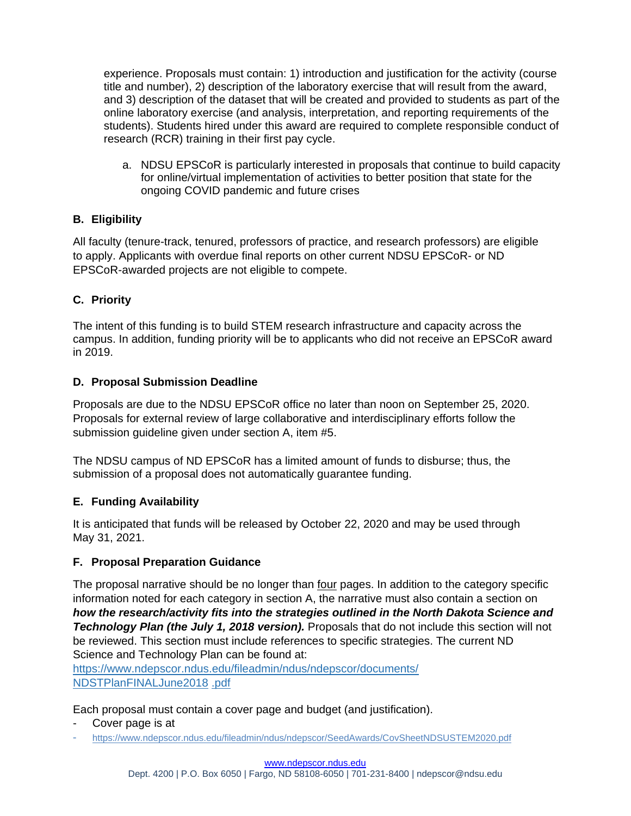experience. Proposals must contain: 1) introduction and justification for the activity (course title and number), 2) description of the laboratory exercise that will result from the award, and 3) description of the dataset that will be created and provided to students as part of the online laboratory exercise (and analysis, interpretation, and reporting requirements of the students). Students hired under this award are required to complete responsible conduct of research (RCR) training in their first pay cycle.

a. NDSU EPSCoR is particularly interested in proposals that continue to build capacity for online/virtual implementation of activities to better position that state for the ongoing COVID pandemic and future crises

## **B. Eligibility**

All faculty (tenure-track, tenured, professors of practice, and research professors) are eligible to apply. Applicants with overdue final reports on other current NDSU EPSCoR- or ND EPSCoR-awarded projects are not eligible to compete.

## **C. Priority**

The intent of this funding is to build STEM research infrastructure and capacity across the campus. In addition, funding priority will be to applicants who did not receive an EPSCoR award in 2019.

## **D. Proposal Submission Deadline**

Proposals are due to the NDSU EPSCoR office no later than noon on September 25, 2020. Proposals for external review of large collaborative and interdisciplinary efforts follow the submission quideline given under section A, item #5.

The NDSU campus of ND EPSCoR has a limited amount of funds to disburse; thus, the submission of a proposal does not automatically guarantee funding.

## **E. Funding Availability**

It is anticipated that funds will be released by October 22, 2020 and may be used through May 31, 2021.

## **F. Proposal Preparation Guidance**

The proposal narrative should be no longer than four pages. In addition to the category specific information noted for each category in section A, the narrative must also contain a section on *how the research/activity fits into the strategies outlined in the North Dakota Science and*  **Technology Plan (the July 1, 2018 version).** Proposals that do not include this section will not be reviewed. This section must include references to specific strategies. The current ND Science and Technology Plan can be found at:

[https://www.ndepscor.ndus.edu/fileadmin/ndus/ndepscor/documents/](https://www.ndepscor.ndus.edu/fileadmin/ndus/ndepscor/documents/NDSTPlanFINALJune2018.pdf) [NDSTPlanFINALJune2018](https://www.ndepscor.ndus.edu/fileadmin/ndus/ndepscor/documents/NDSTPlanFINALJune2018.pdf) .pdf

Each proposal must contain a cover page and budget (and justification).

- Cover page is at
- <https://www.ndepscor.ndus.edu/fileadmin/ndus/ndepscor/SeedAwards/CovSheetNDSUSTEM2020.pdf>